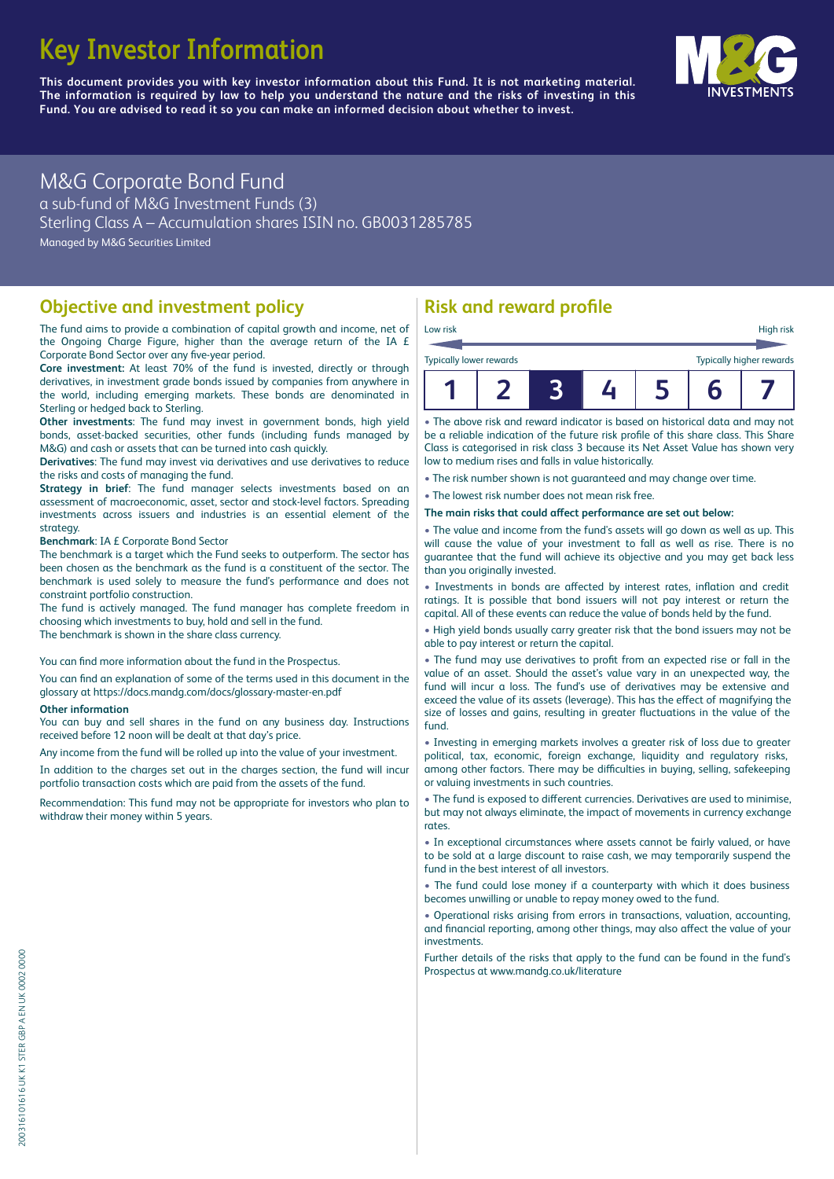# **Key Investor Information**

**This document provides you with key investor information about this Fund. It is not marketing material.** The information is required by law to help you understand the nature and the risks of investing in this **Fund. You are advised to read it so you can make an informed decision about whether to invest.**



# M&G Corporate Bond Fund

a sub-fund of M&G Investment Funds (3) Sterling Class A – Accumulation shares ISIN no. GB0031285785 Managed by M&G Securities Limited

#### **Objective and investment policy**

The fund aims to provide a combination of capital growth and income, net of the Ongoing Charge Figure, higher than the average return of the IA £ Corporate Bond Sector over any five-year period.

**Core investment:** At least 70% of the fund is invested, directly or through derivatives, in investment grade bonds issued by companies from anywhere in the world, including emerging markets. These bonds are denominated in Sterling or hedged back to Sterling.

**Other investments**: The fund may invest in government bonds, high yield bonds, asset-backed securities, other funds (including funds managed by M&G) and cash or assets that can be turned into cash quickly.

**Derivatives**: The fund may invest via derivatives and use derivatives to reduce the risks and costs of managing the fund.

**Strategy in brief**: The fund manager selects investments based on an assessment of macroeconomic, asset, sector and stock-level factors. Spreading investments across issuers and industries is an essential element of the strategy.

**Benchmark**: IA £ Corporate Bond Sector

The benchmark is a target which the Fund seeks to outperform. The sector has been chosen as the benchmark as the fund is a constituent of the sector. The benchmark is used solely to measure the fund's performance and does not constraint portfolio construction.

The fund is actively managed. The fund manager has complete freedom in choosing which investments to buy, hold and sell in the fund. The benchmark is shown in the share class currency.

You can find more information about the fund in the Prospectus.

You can find an explanation of some of the terms used in this document in the glossary at https://docs.mandg.com/docs/glossary-master-en.pdf

#### **Other information**

You can buy and sell shares in the fund on any business day. Instructions received before 12 noon will be dealt at that day's price.

Any income from the fund will be rolled up into the value of your investment.

In addition to the charges set out in the charges section, the fund will incur portfolio transaction costs which are paid from the assets of the fund.

Recommendation: This fund may not be appropriate for investors who plan to withdraw their money within 5 years.

# **Risk and reward profile**

|                                |  |  | $\bar{\bullet}$ |                                 |
|--------------------------------|--|--|-----------------|---------------------------------|
| <b>Typically lower rewards</b> |  |  |                 | <b>Typically higher rewards</b> |
| Low risk                       |  |  |                 | High risk                       |

• The above risk and reward indicator is based on historical data and may not be a reliable indication of the future risk profile of this share class. This Share Class is categorised in risk class 3 because its Net Asset Value has shown very low to medium rises and falls in value historically.

• The risk number shown is not guaranteed and may change over time.

• The lowest risk number does not mean risk free.

The main risks that could affect performance are set out below:

• The value and income from the fund's assets will go down as well as up. This will cause the value of your investment to fall as well as rise. There is no guarantee that the fund will achieve its objective and you may get back less than you originally invested.

• Investments in bonds are affected by interest rates, inflation and credit ratings. It is possible that bond issuers will not pay interest or return the capital. All of these events can reduce the value of bonds held by the fund.

• High yield bonds usually carry greater risk that the bond issuers may not be able to pay interest or return the capital.

• The fund may use derivatives to profit from an expected rise or fall in the value of an asset. Should the asset's value vary in an unexpected way, the fund will incur a loss. The fund's use of derivatives may be extensive and exceed the value of its assets (leverage). This has the effect of magnifying the size of losses and gains, resulting in greater fluctuations in the value of the fund.

• Investing in emerging markets involves a greater risk of loss due to greater political, tax, economic, foreign exchange, liquidity and regulatory risks, among other factors. There may be difficulties in buying, selling, safekeeping or valuing investments in such countries.

• The fund is exposed to d'fferent currencies. Derivatives are used to minimise, but may not always eliminate, the impact of movements in currency exchange rates.

• In exceptional circumstances where assets cannot be fairly valued, or have to be sold at a large discount to raise cash, we may temporarily suspend the fund in the best interest of all investors.

• The fund could lose money if a counterparty with which it does business becomes unwilling or unable to repay money owed to the fund.

• Operational risks arising from errors in transactions, valuation, accounting, and financial reporting, among other things, may also affect the value of your investments.

Further details of the risks that apply to the fund can be found in the fund's Prospectus at [www.mandg.co.uk/literature](http://www.mandg.co.uk/literature)